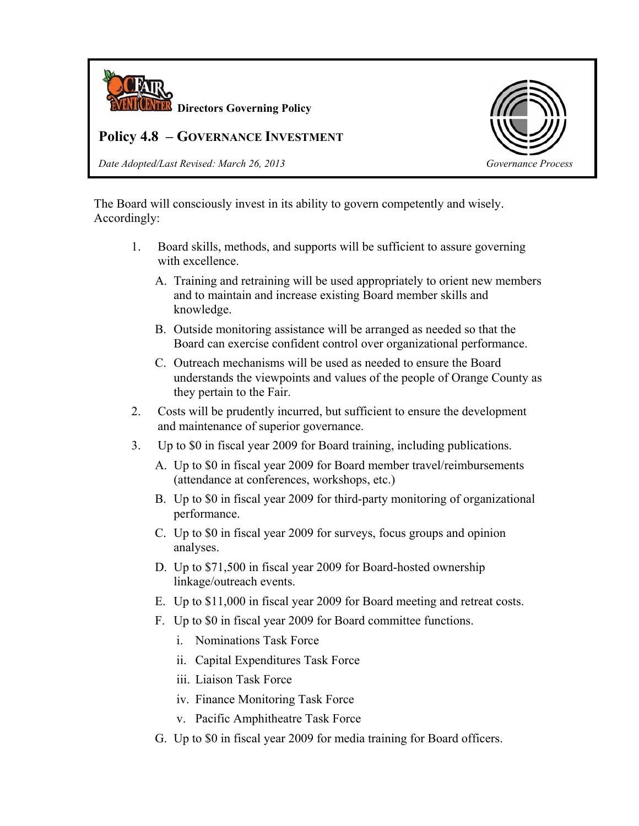

## **Policy 4.8 – GOVERNANCE INVESTMENT**

*Date Adopted/Last Revised: March 26, 2013 Governance Process*



The Board will consciously invest in its ability to govern competently and wisely. Accordingly:

- 1. Board skills, methods, and supports will be sufficient to assure governing with excellence.
	- A. Training and retraining will be used appropriately to orient new members and to maintain and increase existing Board member skills and knowledge.
	- B. Outside monitoring assistance will be arranged as needed so that the Board can exercise confident control over organizational performance.
	- C. Outreach mechanisms will be used as needed to ensure the Board understands the viewpoints and values of the people of Orange County as they pertain to the Fair.
- 2. Costs will be prudently incurred, but sufficient to ensure the development and maintenance of superior governance.
- 3. Up to \$0 in fiscal year 2009 for Board training, including publications.
	- A. Up to \$0 in fiscal year 2009 for Board member travel/reimbursements (attendance at conferences, workshops, etc.)
	- B. Up to \$0 in fiscal year 2009 for third-party monitoring of organizational performance.
	- C. Up to \$0 in fiscal year 2009 for surveys, focus groups and opinion analyses.
	- D. Up to \$71,500 in fiscal year 2009 for Board-hosted ownership linkage/outreach events.
	- E. Up to \$11,000 in fiscal year 2009 for Board meeting and retreat costs.
	- F. Up to \$0 in fiscal year 2009 for Board committee functions.
		- i. Nominations Task Force
		- ii. Capital Expenditures Task Force
		- iii. Liaison Task Force
		- iv. Finance Monitoring Task Force
		- v. Pacific Amphitheatre Task Force
	- G. Up to \$0 in fiscal year 2009 for media training for Board officers.